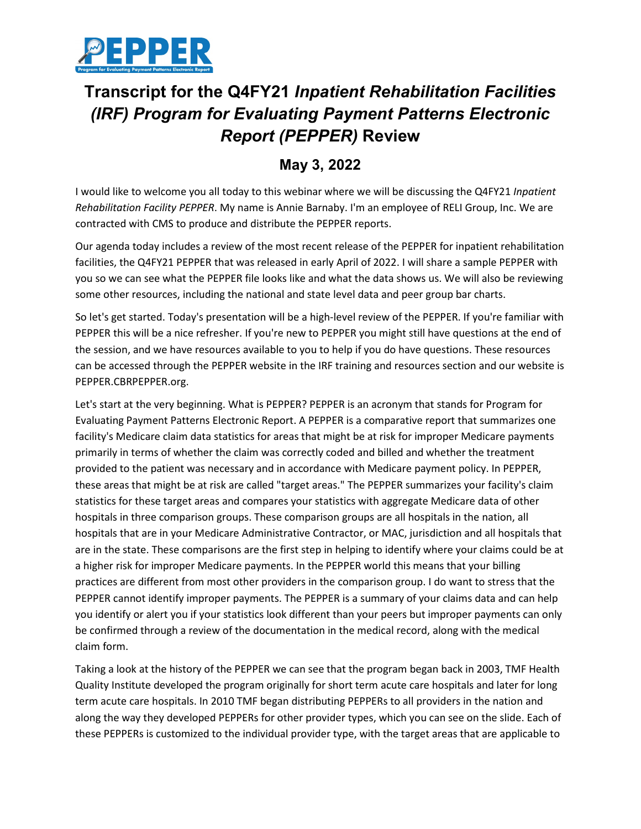

## **Transcript for the Q4FY21** *Inpatient Rehabilitation Facilities (IRF) Program for Evaluating Payment Patterns Electronic Report (PEPPER)* **Review**

## **May 3, 2022**

I would like to welcome you all today to this webinar where we will be discussing the Q4FY21 *Inpatient Rehabilitation Facility PEPPER*. My name is Annie Barnaby. I'm an employee of RELI Group, Inc. We are contracted with CMS to produce and distribute the PEPPER reports.

Our agenda today includes a review of the most recent release of the PEPPER for inpatient rehabilitation facilities, the Q4FY21 PEPPER that was released in early April of 2022. I will share a sample PEPPER with you so we can see what the PEPPER file looks like and what the data shows us. We will also be reviewing some other resources, including the national and state level data and peer group bar charts.

So let's get started. Today's presentation will be a high-level review of the PEPPER. If you're familiar with PEPPER this will be a nice refresher. If you're new to PEPPER you might still have questions at the end of the session, and we have resources available to you to help if you do have questions. These resources can be accessed through the PEPPER website in the IRF training and resources section and our website is PEPPER.CBRPEPPER.org.

Let's start at the very beginning. What is PEPPER? PEPPER is an acronym that stands for Program for Evaluating Payment Patterns Electronic Report. A PEPPER is a comparative report that summarizes one facility's Medicare claim data statistics for areas that might be at risk for improper Medicare payments primarily in terms of whether the claim was correctly coded and billed and whether the treatment provided to the patient was necessary and in accordance with Medicare payment policy. In PEPPER, these areas that might be at risk are called "target areas." The PEPPER summarizes your facility's claim statistics for these target areas and compares your statistics with aggregate Medicare data of other hospitals in three comparison groups. These comparison groups are all hospitals in the nation, all hospitals that are in your Medicare Administrative Contractor, or MAC, jurisdiction and all hospitals that are in the state. These comparisons are the first step in helping to identify where your claims could be at a higher risk for improper Medicare payments. In the PEPPER world this means that your billing practices are different from most other providers in the comparison group. I do want to stress that the PEPPER cannot identify improper payments. The PEPPER is a summary of your claims data and can help you identify or alert you if your statistics look different than your peers but improper payments can only be confirmed through a review of the documentation in the medical record, along with the medical claim form.

Taking a look at the history of the PEPPER we can see that the program began back in 2003, TMF Health Quality Institute developed the program originally for short term acute care hospitals and later for long term acute care hospitals. In 2010 TMF began distributing PEPPERs to all providers in the nation and along the way they developed PEPPERs for other provider types, which you can see on the slide. Each of these PEPPERs is customized to the individual provider type, with the target areas that are applicable to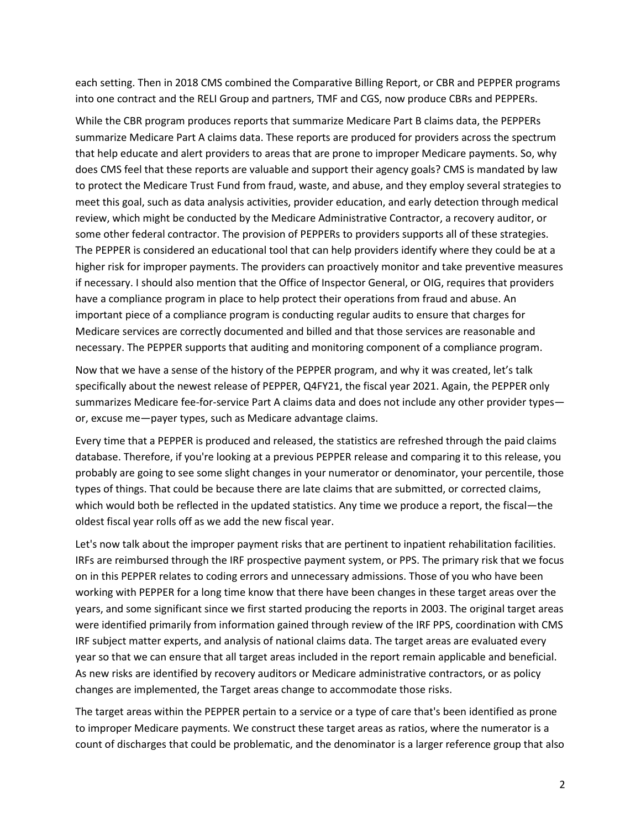each setting. Then in 2018 CMS combined the Comparative Billing Report, or CBR and PEPPER programs into one contract and the RELI Group and partners, TMF and CGS, now produce CBRs and PEPPERs.

While the CBR program produces reports that summarize Medicare Part B claims data, the PEPPERs summarize Medicare Part A claims data. These reports are produced for providers across the spectrum that help educate and alert providers to areas that are prone to improper Medicare payments. So, why does CMS feel that these reports are valuable and support their agency goals? CMS is mandated by law to protect the Medicare Trust Fund from fraud, waste, and abuse, and they employ several strategies to meet this goal, such as data analysis activities, provider education, and early detection through medical review, which might be conducted by the Medicare Administrative Contractor, a recovery auditor, or some other federal contractor. The provision of PEPPERs to providers supports all of these strategies. The PEPPER is considered an educational tool that can help providers identify where they could be at a higher risk for improper payments. The providers can proactively monitor and take preventive measures if necessary. I should also mention that the Office of Inspector General, or OIG, requires that providers have a compliance program in place to help protect their operations from fraud and abuse. An important piece of a compliance program is conducting regular audits to ensure that charges for Medicare services are correctly documented and billed and that those services are reasonable and necessary. The PEPPER supports that auditing and monitoring component of a compliance program.

Now that we have a sense of the history of the PEPPER program, and why it was created, let's talk specifically about the newest release of PEPPER, Q4FY21, the fiscal year 2021. Again, the PEPPER only summarizes Medicare fee-for-service Part A claims data and does not include any other provider types or, excuse me—payer types, such as Medicare advantage claims.

Every time that a PEPPER is produced and released, the statistics are refreshed through the paid claims database. Therefore, if you're looking at a previous PEPPER release and comparing it to this release, you probably are going to see some slight changes in your numerator or denominator, your percentile, those types of things. That could be because there are late claims that are submitted, or corrected claims, which would both be reflected in the updated statistics. Any time we produce a report, the fiscal—the oldest fiscal year rolls off as we add the new fiscal year.

Let's now talk about the improper payment risks that are pertinent to inpatient rehabilitation facilities. IRFs are reimbursed through the IRF prospective payment system, or PPS. The primary risk that we focus on in this PEPPER relates to coding errors and unnecessary admissions. Those of you who have been working with PEPPER for a long time know that there have been changes in these target areas over the years, and some significant since we first started producing the reports in 2003. The original target areas were identified primarily from information gained through review of the IRF PPS, coordination with CMS IRF subject matter experts, and analysis of national claims data. The target areas are evaluated every year so that we can ensure that all target areas included in the report remain applicable and beneficial. As new risks are identified by recovery auditors or Medicare administrative contractors, or as policy changes are implemented, the Target areas change to accommodate those risks.

The target areas within the PEPPER pertain to a service or a type of care that's been identified as prone to improper Medicare payments. We construct these target areas as ratios, where the numerator is a count of discharges that could be problematic, and the denominator is a larger reference group that also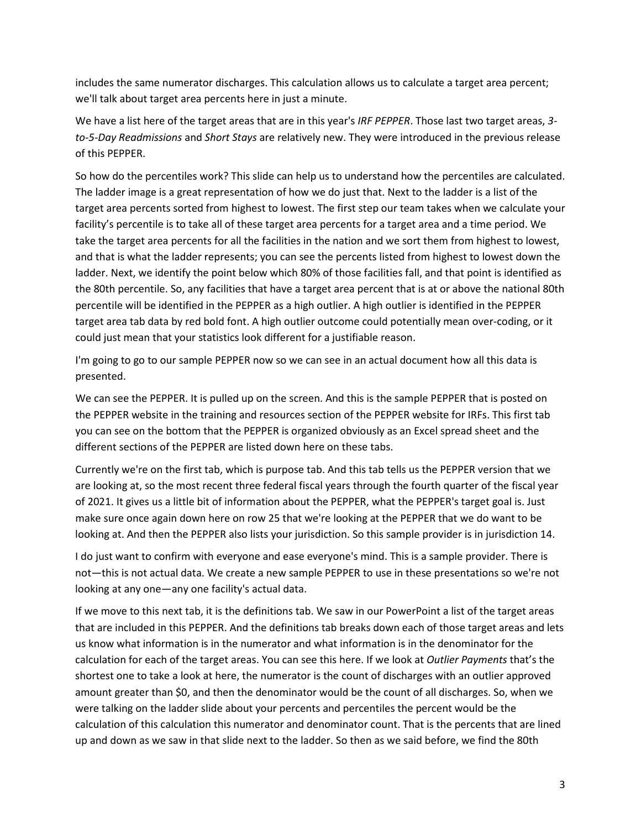includes the same numerator discharges. This calculation allows us to calculate a target area percent; we'll talk about target area percents here in just a minute.

We have a list here of the target areas that are in this year's *IRF PEPPER*. Those last two target areas, *3 to-5-Day Readmissions* and *Short Stays* are relatively new. They were introduced in the previous release of this PEPPER.

So how do the percentiles work? This slide can help us to understand how the percentiles are calculated. The ladder image is a great representation of how we do just that. Next to the ladder is a list of the target area percents sorted from highest to lowest. The first step our team takes when we calculate your facility's percentile is to take all of these target area percents for a target area and a time period. We take the target area percents for all the facilities in the nation and we sort them from highest to lowest, and that is what the ladder represents; you can see the percents listed from highest to lowest down the ladder. Next, we identify the point below which 80% of those facilities fall, and that point is identified as the 80th percentile. So, any facilities that have a target area percent that is at or above the national 80th percentile will be identified in the PEPPER as a high outlier. A high outlier is identified in the PEPPER target area tab data by red bold font. A high outlier outcome could potentially mean over-coding, or it could just mean that your statistics look different for a justifiable reason.

I'm going to go to our sample PEPPER now so we can see in an actual document how all this data is presented.

We can see the PEPPER. It is pulled up on the screen. And this is the sample PEPPER that is posted on the PEPPER website in the training and resources section of the PEPPER website for IRFs. This first tab you can see on the bottom that the PEPPER is organized obviously as an Excel spread sheet and the different sections of the PEPPER are listed down here on these tabs.

Currently we're on the first tab, which is purpose tab. And this tab tells us the PEPPER version that we are looking at, so the most recent three federal fiscal years through the fourth quarter of the fiscal year of 2021. It gives us a little bit of information about the PEPPER, what the PEPPER's target goal is. Just make sure once again down here on row 25 that we're looking at the PEPPER that we do want to be looking at. And then the PEPPER also lists your jurisdiction. So this sample provider is in jurisdiction 14.

I do just want to confirm with everyone and ease everyone's mind. This is a sample provider. There is not—this is not actual data. We create a new sample PEPPER to use in these presentations so we're not looking at any one—any one facility's actual data.

If we move to this next tab, it is the definitions tab. We saw in our PowerPoint a list of the target areas that are included in this PEPPER. And the definitions tab breaks down each of those target areas and lets us know what information is in the numerator and what information is in the denominator for the calculation for each of the target areas. You can see this here. If we look at *Outlier Payments* that's the shortest one to take a look at here, the numerator is the count of discharges with an outlier approved amount greater than \$0, and then the denominator would be the count of all discharges. So, when we were talking on the ladder slide about your percents and percentiles the percent would be the calculation of this calculation this numerator and denominator count. That is the percents that are lined up and down as we saw in that slide next to the ladder. So then as we said before, we find the 80th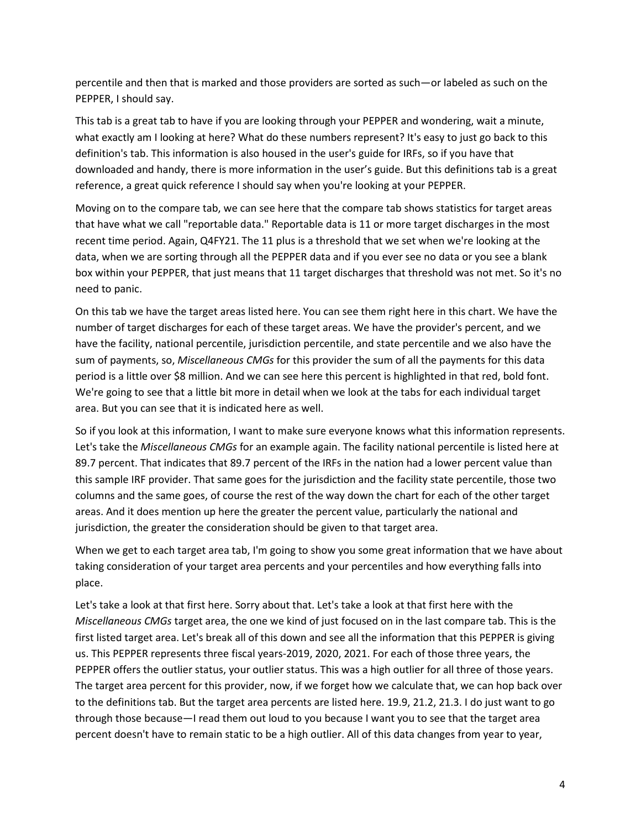percentile and then that is marked and those providers are sorted as such—or labeled as such on the PEPPER, I should say.

This tab is a great tab to have if you are looking through your PEPPER and wondering, wait a minute, what exactly am I looking at here? What do these numbers represent? It's easy to just go back to this definition's tab. This information is also housed in the user's guide for IRFs, so if you have that downloaded and handy, there is more information in the user's guide. But this definitions tab is a great reference, a great quick reference I should say when you're looking at your PEPPER.

Moving on to the compare tab, we can see here that the compare tab shows statistics for target areas that have what we call "reportable data." Reportable data is 11 or more target discharges in the most recent time period. Again, Q4FY21. The 11 plus is a threshold that we set when we're looking at the data, when we are sorting through all the PEPPER data and if you ever see no data or you see a blank box within your PEPPER, that just means that 11 target discharges that threshold was not met. So it's no need to panic.

On this tab we have the target areas listed here. You can see them right here in this chart. We have the number of target discharges for each of these target areas. We have the provider's percent, and we have the facility, national percentile, jurisdiction percentile, and state percentile and we also have the sum of payments, so, *Miscellaneous CMGs* for this provider the sum of all the payments for this data period is a little over \$8 million. And we can see here this percent is highlighted in that red, bold font. We're going to see that a little bit more in detail when we look at the tabs for each individual target area. But you can see that it is indicated here as well.

So if you look at this information, I want to make sure everyone knows what this information represents. Let's take the *Miscellaneous CMGs* for an example again. The facility national percentile is listed here at 89.7 percent. That indicates that 89.7 percent of the IRFs in the nation had a lower percent value than this sample IRF provider. That same goes for the jurisdiction and the facility state percentile, those two columns and the same goes, of course the rest of the way down the chart for each of the other target areas. And it does mention up here the greater the percent value, particularly the national and jurisdiction, the greater the consideration should be given to that target area.

When we get to each target area tab, I'm going to show you some great information that we have about taking consideration of your target area percents and your percentiles and how everything falls into place.

Let's take a look at that first here. Sorry about that. Let's take a look at that first here with the *Miscellaneous CMGs* target area, the one we kind of just focused on in the last compare tab. This is the first listed target area. Let's break all of this down and see all the information that this PEPPER is giving us. This PEPPER represents three fiscal years-2019, 2020, 2021. For each of those three years, the PEPPER offers the outlier status, your outlier status. This was a high outlier for all three of those years. The target area percent for this provider, now, if we forget how we calculate that, we can hop back over to the definitions tab. But the target area percents are listed here. 19.9, 21.2, 21.3. I do just want to go through those because—I read them out loud to you because I want you to see that the target area percent doesn't have to remain static to be a high outlier. All of this data changes from year to year,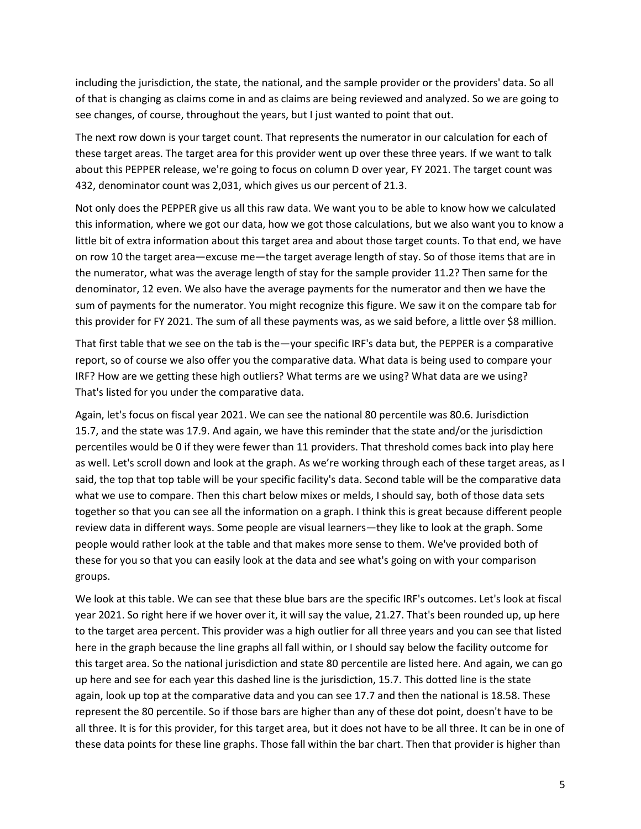including the jurisdiction, the state, the national, and the sample provider or the providers' data. So all of that is changing as claims come in and as claims are being reviewed and analyzed. So we are going to see changes, of course, throughout the years, but I just wanted to point that out.

The next row down is your target count. That represents the numerator in our calculation for each of these target areas. The target area for this provider went up over these three years. If we want to talk about this PEPPER release, we're going to focus on column D over year, FY 2021. The target count was 432, denominator count was 2,031, which gives us our percent of 21.3.

Not only does the PEPPER give us all this raw data. We want you to be able to know how we calculated this information, where we got our data, how we got those calculations, but we also want you to know a little bit of extra information about this target area and about those target counts. To that end, we have on row 10 the target area—excuse me—the target average length of stay. So of those items that are in the numerator, what was the average length of stay for the sample provider 11.2? Then same for the denominator, 12 even. We also have the average payments for the numerator and then we have the sum of payments for the numerator. You might recognize this figure. We saw it on the compare tab for this provider for FY 2021. The sum of all these payments was, as we said before, a little over \$8 million.

That first table that we see on the tab is the—your specific IRF's data but, the PEPPER is a comparative report, so of course we also offer you the comparative data. What data is being used to compare your IRF? How are we getting these high outliers? What terms are we using? What data are we using? That's listed for you under the comparative data.

Again, let's focus on fiscal year 2021. We can see the national 80 percentile was 80.6. Jurisdiction 15.7, and the state was 17.9. And again, we have this reminder that the state and/or the jurisdiction percentiles would be 0 if they were fewer than 11 providers. That threshold comes back into play here as well. Let's scroll down and look at the graph. As we're working through each of these target areas, as I said, the top that top table will be your specific facility's data. Second table will be the comparative data what we use to compare. Then this chart below mixes or melds, I should say, both of those data sets together so that you can see all the information on a graph. I think this is great because different people review data in different ways. Some people are visual learners—they like to look at the graph. Some people would rather look at the table and that makes more sense to them. We've provided both of these for you so that you can easily look at the data and see what's going on with your comparison groups.

We look at this table. We can see that these blue bars are the specific IRF's outcomes. Let's look at fiscal year 2021. So right here if we hover over it, it will say the value, 21.27. That's been rounded up, up here to the target area percent. This provider was a high outlier for all three years and you can see that listed here in the graph because the line graphs all fall within, or I should say below the facility outcome for this target area. So the national jurisdiction and state 80 percentile are listed here. And again, we can go up here and see for each year this dashed line is the jurisdiction, 15.7. This dotted line is the state again, look up top at the comparative data and you can see 17.7 and then the national is 18.58. These represent the 80 percentile. So if those bars are higher than any of these dot point, doesn't have to be all three. It is for this provider, for this target area, but it does not have to be all three. It can be in one of these data points for these line graphs. Those fall within the bar chart. Then that provider is higher than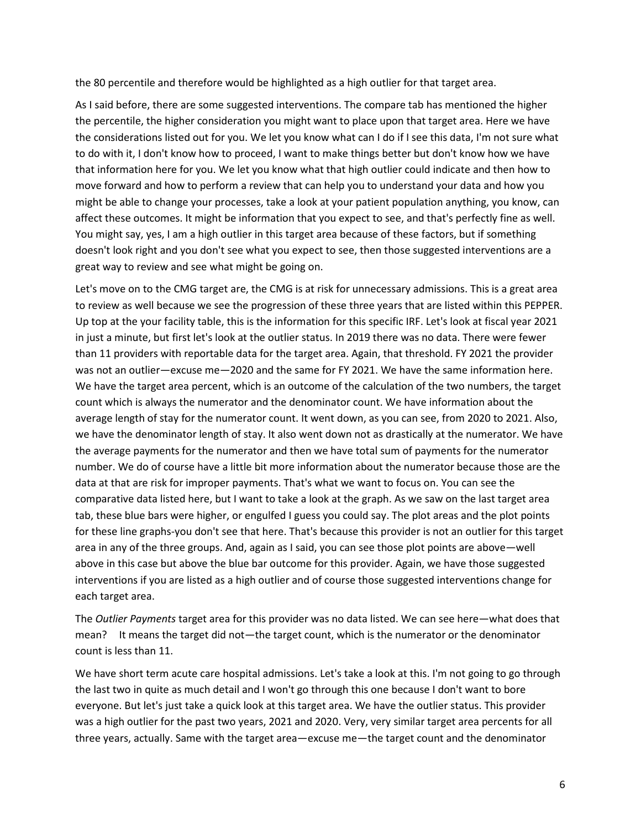the 80 percentile and therefore would be highlighted as a high outlier for that target area.

As I said before, there are some suggested interventions. The compare tab has mentioned the higher the percentile, the higher consideration you might want to place upon that target area. Here we have the considerations listed out for you. We let you know what can I do if I see this data, I'm not sure what to do with it, I don't know how to proceed, I want to make things better but don't know how we have that information here for you. We let you know what that high outlier could indicate and then how to move forward and how to perform a review that can help you to understand your data and how you might be able to change your processes, take a look at your patient population anything, you know, can affect these outcomes. It might be information that you expect to see, and that's perfectly fine as well. You might say, yes, I am a high outlier in this target area because of these factors, but if something doesn't look right and you don't see what you expect to see, then those suggested interventions are a great way to review and see what might be going on.

Let's move on to the CMG target are, the CMG is at risk for unnecessary admissions. This is a great area to review as well because we see the progression of these three years that are listed within this PEPPER. Up top at the your facility table, this is the information for this specific IRF. Let's look at fiscal year 2021 in just a minute, but first let's look at the outlier status. In 2019 there was no data. There were fewer than 11 providers with reportable data for the target area. Again, that threshold. FY 2021 the provider was not an outlier—excuse me—2020 and the same for FY 2021. We have the same information here. We have the target area percent, which is an outcome of the calculation of the two numbers, the target count which is always the numerator and the denominator count. We have information about the average length of stay for the numerator count. It went down, as you can see, from 2020 to 2021. Also, we have the denominator length of stay. It also went down not as drastically at the numerator. We have the average payments for the numerator and then we have total sum of payments for the numerator number. We do of course have a little bit more information about the numerator because those are the data at that are risk for improper payments. That's what we want to focus on. You can see the comparative data listed here, but I want to take a look at the graph. As we saw on the last target area tab, these blue bars were higher, or engulfed I guess you could say. The plot areas and the plot points for these line graphs-you don't see that here. That's because this provider is not an outlier for this target area in any of the three groups. And, again as I said, you can see those plot points are above—well above in this case but above the blue bar outcome for this provider. Again, we have those suggested interventions if you are listed as a high outlier and of course those suggested interventions change for each target area.

The *Outlier Payments* target area for this provider was no data listed. We can see here—what does that mean? It means the target did not—the target count, which is the numerator or the denominator count is less than 11.

We have short term acute care hospital admissions. Let's take a look at this. I'm not going to go through the last two in quite as much detail and I won't go through this one because I don't want to bore everyone. But let's just take a quick look at this target area. We have the outlier status. This provider was a high outlier for the past two years, 2021 and 2020. Very, very similar target area percents for all three years, actually. Same with the target area—excuse me—the target count and the denominator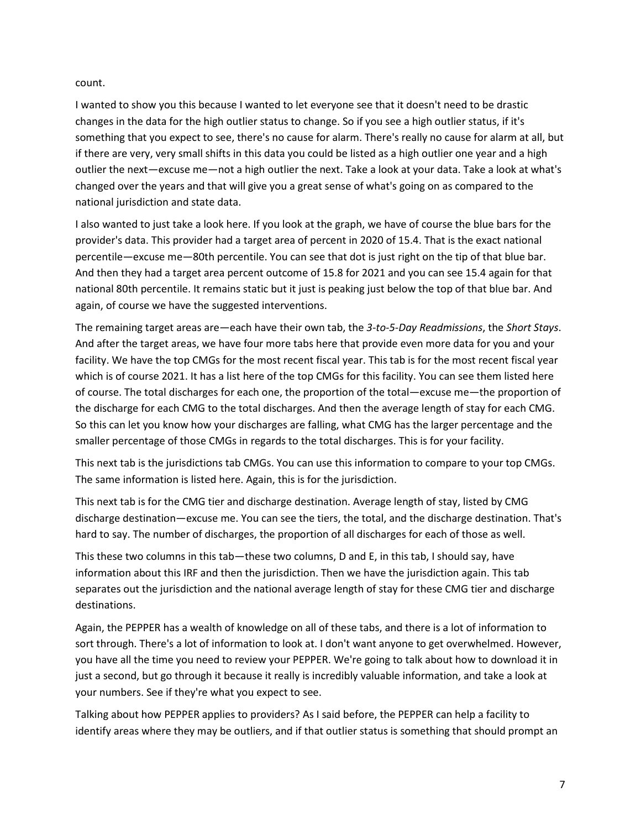count.

I wanted to show you this because I wanted to let everyone see that it doesn't need to be drastic changes in the data for the high outlier status to change. So if you see a high outlier status, if it's something that you expect to see, there's no cause for alarm. There's really no cause for alarm at all, but if there are very, very small shifts in this data you could be listed as a high outlier one year and a high outlier the next—excuse me—not a high outlier the next. Take a look at your data. Take a look at what's changed over the years and that will give you a great sense of what's going on as compared to the national jurisdiction and state data.

I also wanted to just take a look here. If you look at the graph, we have of course the blue bars for the provider's data. This provider had a target area of percent in 2020 of 15.4. That is the exact national percentile—excuse me—80th percentile. You can see that dot is just right on the tip of that blue bar. And then they had a target area percent outcome of 15.8 for 2021 and you can see 15.4 again for that national 80th percentile. It remains static but it just is peaking just below the top of that blue bar. And again, of course we have the suggested interventions.

The remaining target areas are—each have their own tab, the *3-to-5-Day Readmissions*, the *Short Stays*. And after the target areas, we have four more tabs here that provide even more data for you and your facility. We have the top CMGs for the most recent fiscal year. This tab is for the most recent fiscal year which is of course 2021. It has a list here of the top CMGs for this facility. You can see them listed here of course. The total discharges for each one, the proportion of the total—excuse me—the proportion of the discharge for each CMG to the total discharges. And then the average length of stay for each CMG. So this can let you know how your discharges are falling, what CMG has the larger percentage and the smaller percentage of those CMGs in regards to the total discharges. This is for your facility.

This next tab is the jurisdictions tab CMGs. You can use this information to compare to your top CMGs. The same information is listed here. Again, this is for the jurisdiction.

This next tab is for the CMG tier and discharge destination. Average length of stay, listed by CMG discharge destination—excuse me. You can see the tiers, the total, and the discharge destination. That's hard to say. The number of discharges, the proportion of all discharges for each of those as well.

This these two columns in this tab—these two columns, D and E, in this tab, I should say, have information about this IRF and then the jurisdiction. Then we have the jurisdiction again. This tab separates out the jurisdiction and the national average length of stay for these CMG tier and discharge destinations.

Again, the PEPPER has a wealth of knowledge on all of these tabs, and there is a lot of information to sort through. There's a lot of information to look at. I don't want anyone to get overwhelmed. However, you have all the time you need to review your PEPPER. We're going to talk about how to download it in just a second, but go through it because it really is incredibly valuable information, and take a look at your numbers. See if they're what you expect to see.

Talking about how PEPPER applies to providers? As I said before, the PEPPER can help a facility to identify areas where they may be outliers, and if that outlier status is something that should prompt an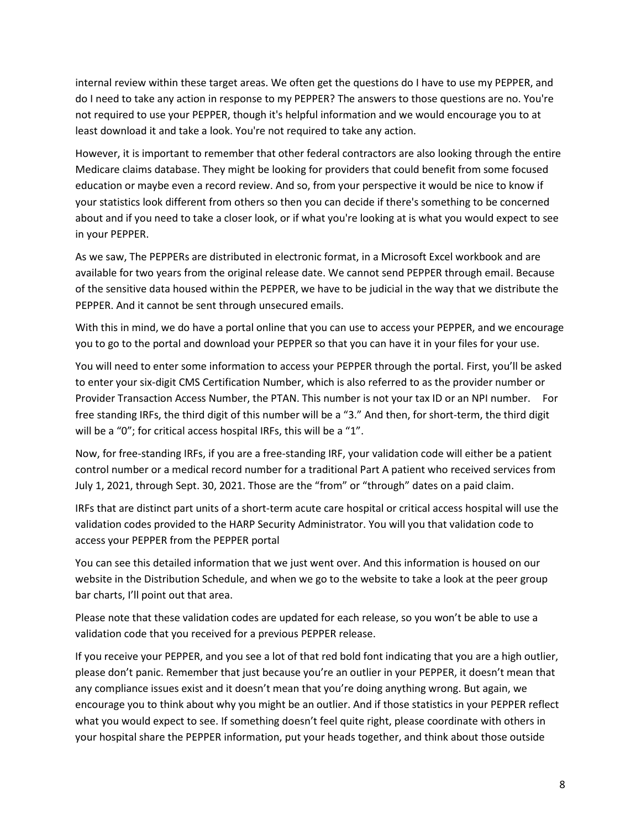internal review within these target areas. We often get the questions do I have to use my PEPPER, and do I need to take any action in response to my PEPPER? The answers to those questions are no. You're not required to use your PEPPER, though it's helpful information and we would encourage you to at least download it and take a look. You're not required to take any action.

However, it is important to remember that other federal contractors are also looking through the entire Medicare claims database. They might be looking for providers that could benefit from some focused education or maybe even a record review. And so, from your perspective it would be nice to know if your statistics look different from others so then you can decide if there's something to be concerned about and if you need to take a closer look, or if what you're looking at is what you would expect to see in your PEPPER.

As we saw, The PEPPERs are distributed in electronic format, in a Microsoft Excel workbook and are available for two years from the original release date. We cannot send PEPPER through email. Because of the sensitive data housed within the PEPPER, we have to be judicial in the way that we distribute the PEPPER. And it cannot be sent through unsecured emails.

With this in mind, we do have a portal online that you can use to access your PEPPER, and we encourage you to go to the portal and download your PEPPER so that you can have it in your files for your use.

You will need to enter some information to access your PEPPER through the portal. First, you'll be asked to enter your six-digit CMS Certification Number, which is also referred to as the provider number or Provider Transaction Access Number, the PTAN. This number is not your tax ID or an NPI number. For free standing IRFs, the third digit of this number will be a "3." And then, for short-term, the third digit will be a "0"; for critical access hospital IRFs, this will be a "1".

Now, for free-standing IRFs, if you are a free-standing IRF, your validation code will either be a patient control number or a medical record number for a traditional Part A patient who received services from July 1, 2021, through Sept. 30, 2021. Those are the "from" or "through" dates on a paid claim.

IRFs that are distinct part units of a short-term acute care hospital or critical access hospital will use the validation codes provided to the HARP Security Administrator. You will you that validation code to access your PEPPER from the PEPPER portal

You can see this detailed information that we just went over. And this information is housed on our website in the Distribution Schedule, and when we go to the website to take a look at the peer group bar charts, I'll point out that area.

Please note that these validation codes are updated for each release, so you won't be able to use a validation code that you received for a previous PEPPER release.

If you receive your PEPPER, and you see a lot of that red bold font indicating that you are a high outlier, please don't panic. Remember that just because you're an outlier in your PEPPER, it doesn't mean that any compliance issues exist and it doesn't mean that you're doing anything wrong. But again, we encourage you to think about why you might be an outlier. And if those statistics in your PEPPER reflect what you would expect to see. If something doesn't feel quite right, please coordinate with others in your hospital share the PEPPER information, put your heads together, and think about those outside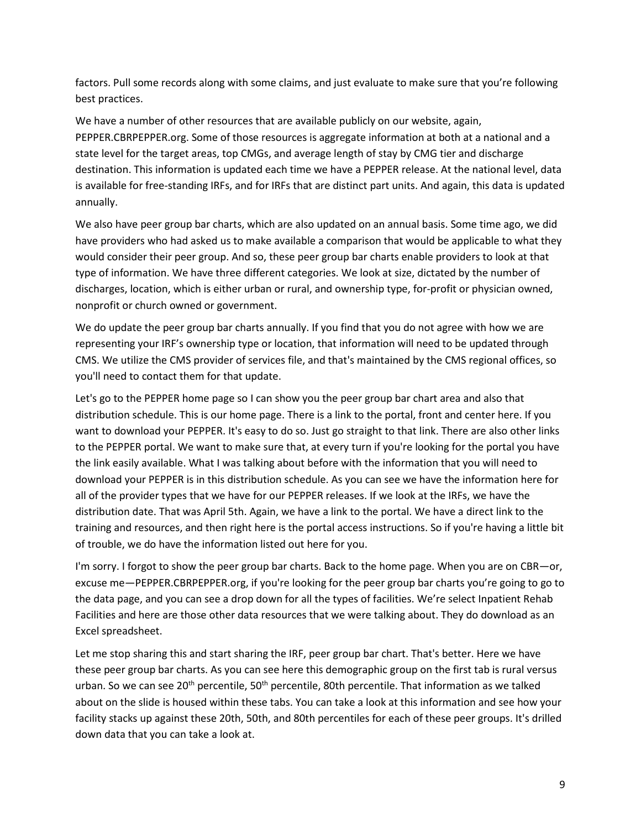factors. Pull some records along with some claims, and just evaluate to make sure that you're following best practices.

We have a number of other resources that are available publicly on our website, again, PEPPER.CBRPEPPER.org. Some of those resources is aggregate information at both at a national and a state level for the target areas, top CMGs, and average length of stay by CMG tier and discharge destination. This information is updated each time we have a PEPPER release. At the national level, data is available for free-standing IRFs, and for IRFs that are distinct part units. And again, this data is updated annually.

We also have peer group bar charts, which are also updated on an annual basis. Some time ago, we did have providers who had asked us to make available a comparison that would be applicable to what they would consider their peer group. And so, these peer group bar charts enable providers to look at that type of information. We have three different categories. We look at size, dictated by the number of discharges, location, which is either urban or rural, and ownership type, for-profit or physician owned, nonprofit or church owned or government.

We do update the peer group bar charts annually. If you find that you do not agree with how we are representing your IRF's ownership type or location, that information will need to be updated through CMS. We utilize the CMS provider of services file, and that's maintained by the CMS regional offices, so you'll need to contact them for that update.

Let's go to the PEPPER home page so I can show you the peer group bar chart area and also that distribution schedule. This is our home page. There is a link to the portal, front and center here. If you want to download your PEPPER. It's easy to do so. Just go straight to that link. There are also other links to the PEPPER portal. We want to make sure that, at every turn if you're looking for the portal you have the link easily available. What I was talking about before with the information that you will need to download your PEPPER is in this distribution schedule. As you can see we have the information here for all of the provider types that we have for our PEPPER releases. If we look at the IRFs, we have the distribution date. That was April 5th. Again, we have a link to the portal. We have a direct link to the training and resources, and then right here is the portal access instructions. So if you're having a little bit of trouble, we do have the information listed out here for you.

I'm sorry. I forgot to show the peer group bar charts. Back to the home page. When you are on CBR—or, excuse me—PEPPER.CBRPEPPER.org, if you're looking for the peer group bar charts you're going to go to the data page, and you can see a drop down for all the types of facilities. We're select Inpatient Rehab Facilities and here are those other data resources that we were talking about. They do download as an Excel spreadsheet.

Let me stop sharing this and start sharing the IRF, peer group bar chart. That's better. Here we have these peer group bar charts. As you can see here this demographic group on the first tab is rural versus urban. So we can see 20<sup>th</sup> percentile, 50<sup>th</sup> percentile, 80th percentile. That information as we talked about on the slide is housed within these tabs. You can take a look at this information and see how your facility stacks up against these 20th, 50th, and 80th percentiles for each of these peer groups. It's drilled down data that you can take a look at.